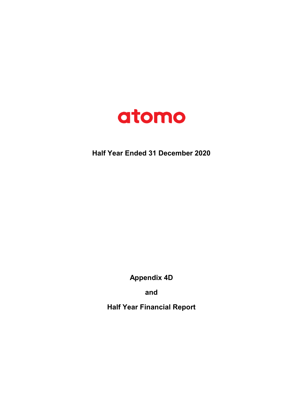

## Half Year Ended 31 December 2020

Appendix 4D

and

Half Year Financial Report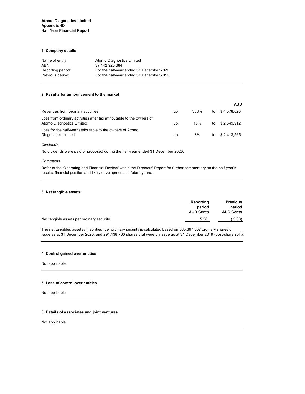#### 1. Company details

| Name of entity:   | Atomo Diagnostics Limited                |
|-------------------|------------------------------------------|
| ABN:              | 37 142 925 684                           |
| Reporting period: | For the half-year ended 31 December 2020 |
| Previous period:  | For the half-year ended 31 December 2019 |

#### 2. Results for announcement to the market

|                                                                                                    |    |      |    | <b>AUD</b>     |
|----------------------------------------------------------------------------------------------------|----|------|----|----------------|
| Revenues from ordinary activities                                                                  | up | 388% | to | \$ 4,578,620   |
| Loss from ordinary activities after tax attributable to the owners of<br>Atomo Diagnostics Limited | up | 13%  |    | to \$2,549,912 |
| Loss for the half-year attributable to the owners of Atomo<br>Diagnostics Limited                  | up | 3%   |    | to \$2.413.565 |

#### Dividends

No dividends were paid or proposed during the half-year ended 31 December 2020.

#### **Comments**

Refer to the 'Operating and Financial Review' within the Directors' Report for further commentary on the half-year's results, financial position and likely developments in future years.

#### 3. Net tangible assets

|                                           | Reporting<br>period | <b>Previous</b><br>period |
|-------------------------------------------|---------------------|---------------------------|
|                                           | <b>AUD Cents</b>    | <b>AUD Cents</b>          |
| Net tangible assets per ordinary security | 5.38                | 3.08)                     |

The net tangibles assets / (liabilities) per ordinary security is calculated based on 565,397,807 ordinary shares on issue as at 31 December 2020, and 291,138,760 shares that were on issue as at 31 December 2019 (post-share split).

#### 4. Control gained over entities

Not applicable

#### 5. Loss of control over entities

Not applicable

#### 6. Details of associates and joint ventures

Not applicable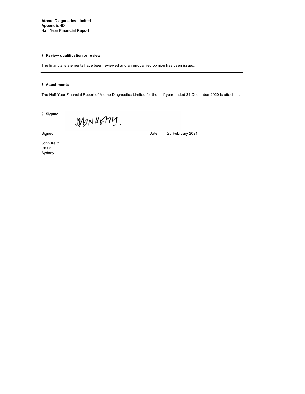Atomo Diagnostics Limited Appendix 4D Half Year Financial Report

#### 7. Review qualification or review

The financial statements have been reviewed and an unqualified opinion has been issued.

#### 8. Attachments

The Half-Year Financial Report of Atomo Diagnostics Limited for the half-year ended 31 December 2020 is attached.

23 February 2021

9. Signed

WANKETTY.

Signed **Date:** Date:

John Keith Chair Sydney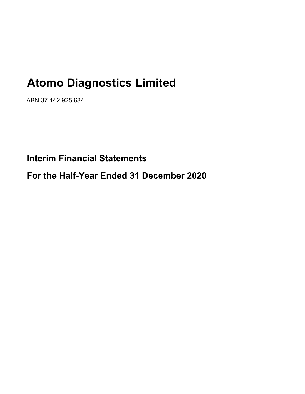# Atomo Diagnostics Limited

ABN 37 142 925 684

Interim Financial Statements

For the Half-Year Ended 31 December 2020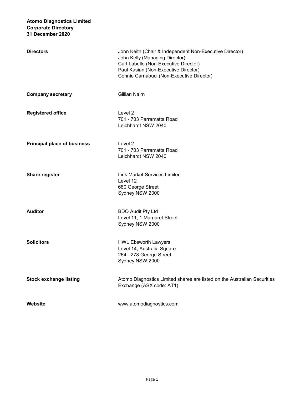| <b>Directors</b>                   | John Keith (Chair & Independent Non-Executive Director)<br>John Kelly (Managing Director)<br>Curt Labelle (Non-Executive Director)<br>Paul Kasian (Non-Executive Director)<br>Connie Carnabuci (Non-Executive Director) |
|------------------------------------|-------------------------------------------------------------------------------------------------------------------------------------------------------------------------------------------------------------------------|
| <b>Company secretary</b>           | Gillian Nairn                                                                                                                                                                                                           |
| <b>Registered office</b>           | Level <sub>2</sub><br>701 - 703 Parramatta Road<br>Leichhardt NSW 2040                                                                                                                                                  |
| <b>Principal place of business</b> | Level 2<br>701 - 703 Parramatta Road<br>Leichhardt NSW 2040                                                                                                                                                             |
| <b>Share register</b>              | <b>Link Market Services Limited</b><br>Level 12<br>680 George Street<br>Sydney NSW 2000                                                                                                                                 |
| <b>Auditor</b>                     | <b>BDO Audit Pty Ltd</b><br>Level 11, 1 Margaret Street<br>Sydney NSW 2000                                                                                                                                              |
| <b>Solicitors</b>                  | <b>HWL Ebsworth Lawyers</b><br>Level 14, Australia Square<br>264 - 278 George Street<br>Sydney NSW 2000                                                                                                                 |
| <b>Stock exchange listing</b>      | Atomo Diagnostics Limited shares are listed on the Australian Securities<br>Exchange (ASX code: AT1)                                                                                                                    |
| Website                            | www.atomodiagnostics.com                                                                                                                                                                                                |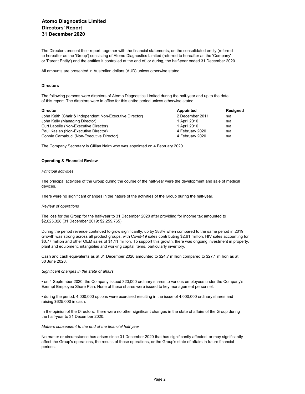## Atomo Diagnostics Limited Directors' Report 31 December 2020

The Directors present their report, together with the financial statements, on the consolidated entity (referred to hereafter as the 'Group') consisting of Atomo Diagnostics Limited (referred to hereafter as the 'Company' or 'Parent Entity') and the entities it controlled at the end of, or during, the half-year ended 31 December 2020.

All amounts are presented in Australian dollars (AUD) unless otherwise stated.

#### Directors

The following persons were directors of Atomo Diagnostics Limited during the half-year and up to the date of this report. The directors were in office for this entire period unless otherwise stated:

| <b>Director</b>                                         | Appointed       | Resigned |
|---------------------------------------------------------|-----------------|----------|
| John Keith (Chair & Independent Non-Executive Director) | 2 December 2011 | n/a      |
| John Kelly (Managing Director)                          | 1 April 2010    | n/a      |
| Curt Labelle (Non-Executive Director)                   | 1 April 2010    | n/a      |
| Paul Kasian (Non-Executive Director)                    | 4 February 2020 | n/a      |
| Connie Carnabuci (Non-Executive Director)               | 4 February 2020 | n/a      |

The Company Secretary is Gillian Nairn who was appointed on 4 February 2020.

#### Operating & Financial Review

#### Principal activities

The principal activities of the Group during the course of the half-year were the development and sale of medical devices.

There were no significant changes in the nature of the activities of the Group during the half-year.

#### Review of operations

The loss for the Group for the half-year to 31 December 2020 after providing for income tax amounted to \$2,625,328 (31 December 2019: \$2,259,765).

During the period revenue continued to grow significantly, up by 388% when compared to the same period in 2019. Growth was strong across all product groups, with Covid-19 sales contributing \$2.61 million, HIV sales accounting for \$0.77 million and other OEM sales of \$1.11 million. To support this growth, there was ongoing investment in property, plant and equipment, intangibles and working capital items, particularly inventory.

Cash and cash equivalents as at 31 December 2020 amounted to \$24.7 million compared to \$27.1 million as at 30 June 2020.

#### Significant changes in the state of affairs

• on 4 September 2020, the Company issued 320,000 ordinary shares to various employees under the Company's Exempt Employee Share Plan. None of these shares were issued to key management personnel.

• during the period, 4,000,000 options were exercised resulting in the issue of 4,000,000 ordinary shares and raising \$625,000 in cash.

In the opinion of the Directors, there were no other significant changes in the state of affairs of the Group during the half-year to 31 December 2020.

#### Matters subsequent to the end of the financial half year

No matter or circumstance has arisen since 31 December 2020 that has significantly affected, or may significantly affect the Group's operations, the results of those operations, or the Group's state of affairs in future financial periods.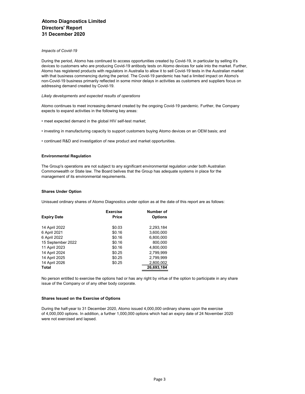#### Impacts of Covid-19

During the period, Atomo has continued to access opportunities created by Covid-19, in particular by selling it's devices to customers who are producing Covid-19 antibody tests on Atomo devices for sale into the market. Further, Atomo has registered products with regulators in Australia to allow it to sell Covid-19 tests in the Australian market with that business commencing during the period. The Covid-19 pandemic has had a limited impact on Atomo's non-Covid-19 business primarily reflected in some minor delays in activities as customers and suppliers focus on addressing demand created by Covid-19.

#### Likely developments and expected results of operations

Atomo continues to meet increasing demand created by the ongoing Covid-19 pandemic. Further, the Company expects to expand activities in the following key areas:

- meet expected demand in the global HIV self-test market;
- investing in manufacturing capacity to support customers buying Atomo devices on an OEM basis; and
- continued R&D and investigation of new product and market opportunities.

#### Environmental Regulation

The Group's operations are not subject to any significant environmental regulation under both Australian Commonwealth or State law. The Board belives that the Group has adequate systems in place for the management of its environmental requirements.

#### Shares Under Option

Unissued ordinary shares of Atomo Diagnostics under option as at the date of this report are as follows:

|                    | <b>Exercise</b> | Number of      |
|--------------------|-----------------|----------------|
| <b>Expiry Date</b> | Price           | <b>Options</b> |
| 14 April 2022      | \$0.03          | 2,293,184      |
| 6 April 2021       | \$0.16          | 3,600,000      |
| 6 April 2022       | \$0.16          | 6,800,000      |
| 15 September 2022  | \$0.16          | 800,000        |
| 11 April 2023      | \$0.16          | 4,800,000      |
| 14 April 2024      | \$0.25          | 2,799,999      |
| 14 April 2025      | \$0.25          | 2,799,999      |
| 14 April 2026      | \$0.25          | 2,800,002      |
| <b>Total</b>       |                 | 26,693,184     |

No person entitled to exercise the options had or has any right by virtue of the option to participate in any share issue of the Company or of any other body corporate.

#### Shares Issued on the Exercise of Options

During the half-year to 31 December 2020, Atomo issued 4,000,000 ordinary shares upon the exercise of 4,000,000 options. In addition, a further 1,000,000 options which had an expiry date of 24 November 2020 were not exercised and lapsed.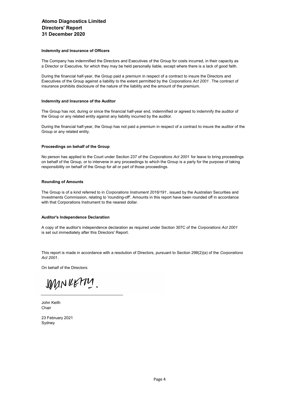#### Indemnity and Insurance of Officers

The Company has indemnified the Directors and Executives of the Group for costs incurred, in their capacity as a Director or Executive, for which they may be held personally liable, except where there is a lack of good faith.

During the financial half-year, the Group paid a premium in respect of a contract to insure the Directors and Executives of the Group against a liability to the extent permitted by the Corporations Act 2001 . The contract of insurance prohibits disclosure of the nature of the liability and the amount of the premium.

#### Indemnity and Insurance of the Auditor

The Group has not, during or since the financial half-year end, indemnified or agreed to indemnify the auditor of the Group or any related entity against any liability incurred by the auditor.

During the financial half-year, the Group has not paid a premium in respect of a contract to insure the auditor of the Group or any related entity.

#### Proceedings on behalf of the Group

No person has applied to the Court under Section 237 of the Corporations Act 2001 for leave to bring proceedings on behalf of the Group, or to intervene in any proceedings to which the Group is a party for the purpose of taking responsibility on behalf of the Group for all or part of those proceedings.

#### Rounding of Amounts

The Group is of a kind referred to in Corporations Instrument 2016/191, issued by the Australian Securities and Investments Commission, relating to 'rounding-off'. Amounts in this report have been rounded off in accordance with that Corporations Instrument to the nearest dollar.

#### Auditor's Independence Declaration

A copy of the auditor's independence declaration as required under Section 307C of the Corporations Act 2001 is set out immediately after this Directors' Report.

This report is made in accordance with a resolution of Directors, pursuant to Section 298(2)(a) of the Corporations Act 2001 .

On behalf of the Directors:

JOMN RETTY

John Keith Chair

23 February 2021 Sydney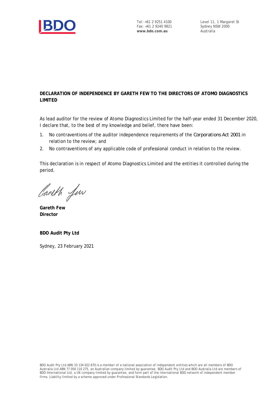

## **DECLARATION OF INDEPENDENCE BY GARETH FEW TO THE DIRECTORS OF ATOMO DIAGNOSTICS LIMITED**

As lead auditor for the review of Atomo Diagnostics Limited for the half-year ended 31 December 2020, I declare that, to the best of my knowledge and belief, there have been:

- 1. No contraventions of the auditor independence requirements of the *Corporations Act 2001* in relation to the review; and
- 2. No contraventions of any applicable code of professional conduct in relation to the review.

This declaration is in respect of Atomo Diagnostics Limited and the entities it controlled during the period.

Careth fin

**Gareth Few Director**

**BDO Audit Pty Ltd**

Sydney, 23 February 2021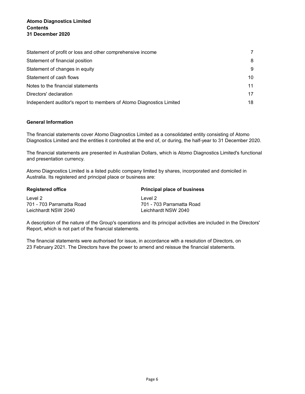| Statement of profit or loss and other comprehensive income           |    |
|----------------------------------------------------------------------|----|
| Statement of financial position                                      | 8  |
| Statement of changes in equity                                       | 9  |
| Statement of cash flows                                              | 10 |
| Notes to the financial statements                                    | 11 |
| Directors' declaration                                               | 17 |
| Independent auditor's report to members of Atomo Diagnostics Limited | 18 |

### General Information

The financial statements cover Atomo Diagnostics Limited as a consolidated entity consisting of Atomo Diagnostics Limited and the entities it controlled at the end of, or during, the half-year to 31 December 2020.

The financial statements are presented in Australian Dollars, which is Atomo Diagnostics Limited's functional and presentation currency.

Atomo Diagnostics Limited is a listed public company limited by shares, incorporated and domiciled in Australia. Its registered and principal place or business are:

| <b>Registered office</b>  | <b>Principal place of business</b> |  |  |
|---------------------------|------------------------------------|--|--|
| Level 2                   | Level 2                            |  |  |
| 701 - 703 Parramatta Road | 701 - 703 Parramatta Road          |  |  |
| Leichhardt NSW 2040       | Leichhardt NSW 2040                |  |  |

A description of the nature of the Group's operations and its principal activities are included in the Directors' Report, which is not part of the financial statements.

The financial statements were authorised for issue, in accordance with a resolution of Directors, on 23 February 2021. The Directors have the power to amend and reissue the financial statements.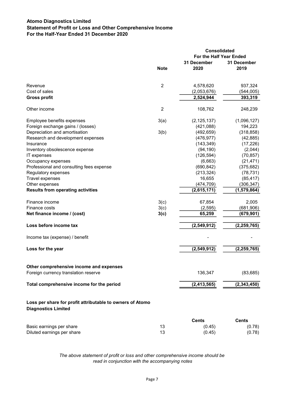## Atomo Diagnostics Limited Statement of Profit or Loss and Other Comprehensive Income For the Half-Year Ended 31 December 2020

|                                                                                         |                |                         | Consolidated  |  |  |
|-----------------------------------------------------------------------------------------|----------------|-------------------------|---------------|--|--|
|                                                                                         |                | For the Half Year Ended |               |  |  |
|                                                                                         |                | 31 December             | 31 December   |  |  |
|                                                                                         | <b>Note</b>    | 2020                    | 2019          |  |  |
| Revenue                                                                                 | $\overline{c}$ | 4,578,620               | 937,324       |  |  |
| Cost of sales                                                                           |                | (2,053,676)             | (544, 005)    |  |  |
| <b>Gross profit</b>                                                                     |                | 2,524,944               | 393,319       |  |  |
| Other income                                                                            | $\overline{c}$ | 108,762                 | 248,239       |  |  |
| Employee benefits expenses                                                              | 3(a)           | (2, 125, 137)           | (1,096,127)   |  |  |
| Foreign exchange gains / (losses)                                                       |                | (421,088)               | 194,223       |  |  |
| Depreciation and amortisation                                                           | 3(b)           | (492, 659)              | (318, 858)    |  |  |
| Research and development expenses                                                       |                | (476, 977)              | (42, 885)     |  |  |
| Insurance                                                                               |                | (143, 349)              | (17, 226)     |  |  |
| Inventory obsolescence expense                                                          |                | (94, 190)               | (2,044)       |  |  |
| IT expenses                                                                             |                | (126, 594)              | (70, 857)     |  |  |
| Occupancy expenses                                                                      |                | (6,663)                 | (21, 471)     |  |  |
| Professional and consulting fees expense                                                |                | (690, 842)              | (375, 682)    |  |  |
| Regulatory expenses                                                                     |                | (213, 324)              | (78, 731)     |  |  |
| Travel expenses                                                                         |                | 16,655                  | (85, 417)     |  |  |
| Other expenses                                                                          |                | (474, 709)              | (306, 347)    |  |  |
| <b>Results from operating activities</b>                                                |                | (2,615,171)             | (1,579,864)   |  |  |
| Finance income                                                                          | 3(c)           | 67,854                  | 2,005         |  |  |
| Finance costs                                                                           | 3(c)           | (2,595)                 | (681, 906)    |  |  |
| Net finance income / (cost)                                                             | 3(c)           | 65,259                  | (679, 901)    |  |  |
| Loss before income tax                                                                  |                | (2, 549, 912)           | (2, 259, 765) |  |  |
| Income tax (expense) / benefit                                                          |                |                         |               |  |  |
| Loss for the year                                                                       |                | (2,549,912)             | (2, 259, 765) |  |  |
| Other comprehensive income and expenses                                                 |                |                         |               |  |  |
| Foreign currency translation reserve                                                    |                | 136,347                 | (83, 685)     |  |  |
| Total comprehensive income for the period                                               |                | (2, 413, 565)           | (2, 343, 450) |  |  |
| Loss per share for profit attributable to owners of Atomo<br><b>Diagnostics Limited</b> |                |                         |               |  |  |
|                                                                                         |                | <b>Cents</b>            | <b>Cents</b>  |  |  |
| Basic earnings per share                                                                | 13             | (0.45)                  | (0.78)        |  |  |
| Diluted earnings per share                                                              | 13             | (0.45)                  | (0.78)        |  |  |
|                                                                                         |                |                         |               |  |  |

The above statement of profit or loss and other comprehensive income should be read in conjunction with the accompanying notes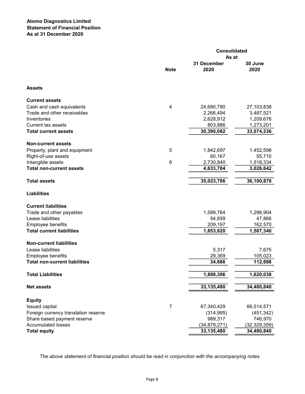|                                      |                | <b>Consolidated</b> |                |  |  |
|--------------------------------------|----------------|---------------------|----------------|--|--|
|                                      |                | As at               |                |  |  |
|                                      |                | 31 December         | 30 June        |  |  |
|                                      | <b>Note</b>    | 2020                | 2020           |  |  |
| <b>Assets</b>                        |                |                     |                |  |  |
| <b>Current assets</b>                |                |                     |                |  |  |
| Cash and cash equivalents            | 4              | 24,690,790          | 27,103,838     |  |  |
| Trade and other receivables          |                | 2,266,494           | 3,487,521      |  |  |
| Inventories                          |                | 2,628,912           | 1,209,676      |  |  |
| <b>Current tax assets</b>            |                | 803,886             | 1,273,201      |  |  |
| <b>Total current assets</b>          |                | 30,390,082          | 33,074,236     |  |  |
| <b>Non-current assets</b>            |                |                     |                |  |  |
| Property, plant and equipment        | 5              | 1,842,697           | 1,452,598      |  |  |
| Right-of-use assets                  |                | 60,167              | 55,710         |  |  |
| Intangible assets                    | 6              | 2,730,840           | 1,518,334      |  |  |
| <b>Total non-current assets</b>      |                | 4,633,704           | 3,026,642      |  |  |
| <b>Total assets</b>                  |                | 35,023,786          | 36,100,878     |  |  |
| <b>Liabilities</b>                   |                |                     |                |  |  |
| <b>Current liabilities</b>           |                |                     |                |  |  |
| Trade and other payables             |                | 1,589,764           | 1,296,904      |  |  |
| Lease liabilities                    |                | 54,659              | 47,866         |  |  |
| Employee benefits                    |                | 209,197             | 162,570        |  |  |
| <b>Total current liabilities</b>     |                | 1,853,620           | 1,507,340      |  |  |
| <b>Non-current liabilities</b>       |                |                     |                |  |  |
| Lease liabilities                    |                | 5,317               | 7,675          |  |  |
| Employee benefits                    |                | 29,369              | 105,023        |  |  |
| <b>Total non-current liabilities</b> |                | 34,686              | 112,698        |  |  |
| <b>Total Liabilities</b>             |                | 1,888,306           | 1,620,038      |  |  |
| <b>Net assets</b>                    |                | 33,135,480          | 34,480,840     |  |  |
|                                      |                |                     |                |  |  |
| <b>Equity</b>                        |                |                     |                |  |  |
| Issued capital                       | $\overline{7}$ | 67,340,429          | 66,514,571     |  |  |
| Foreign currency translation reserve |                | (314, 995)          | (451, 342)     |  |  |
| Share based payment reserve          |                | 989,317             | 746,970        |  |  |
| <b>Accumulated losses</b>            |                | (34, 879, 271)      | (32, 329, 359) |  |  |
| <b>Total equity</b>                  |                | 33, 135, 480        | 34,480,840     |  |  |

The above statement of financial position should be read in conjunction with the accompanying notes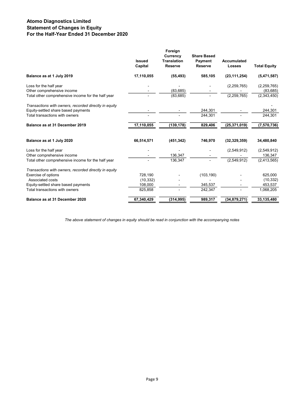## Atomo Diagnostics Limited Statement of Changes in Equity For the Half-Year Ended 31 December 2020

|                                                       | <b>Issued</b><br>Capital | Foreign<br><b>Currency</b><br><b>Translation</b><br><b>Reserve</b> | <b>Share Based</b><br>Payment<br><b>Reserve</b> | Accumulated<br><b>Losses</b> | <b>Total Equity</b> |
|-------------------------------------------------------|--------------------------|--------------------------------------------------------------------|-------------------------------------------------|------------------------------|---------------------|
| Balance as at 1 July 2019                             | 17,110,055               | (55, 493)                                                          | 585,105                                         | (23, 111, 254)               | (5,471,587)         |
| Loss for the half year                                |                          |                                                                    |                                                 | (2, 259, 765)                | (2, 259, 765)       |
| Other comprehensive income                            |                          | (83, 685)                                                          |                                                 |                              | (83, 685)           |
| Total other comprehensive income for the half year    |                          | (83, 685)                                                          |                                                 | (2, 259, 765)                | (2,343,450)         |
| Transactions with owners, recorded directly in equity |                          |                                                                    |                                                 |                              |                     |
| Equity-settled share based payments                   |                          |                                                                    | 244,301                                         |                              | 244,301             |
| Total transactions with owners                        |                          |                                                                    | 244,301                                         |                              | 244,301             |
| Balance as at 31 December 2019                        | 17,110,055               | (139, 178)                                                         | 829,406                                         | (25, 371, 019)               | (7,570,736)         |
| Balance as at 1 July 2020                             | 66,514,571               | (451, 342)                                                         | 746,970                                         | (32, 329, 359)               | 34,480,840          |
| Loss for the half year                                |                          |                                                                    |                                                 | (2,549,912)                  | (2,549,912)         |
| Other comprehensive income                            |                          | 136,347                                                            |                                                 |                              | 136,347             |
| Total other comprehensive income for the half year    |                          | 136,347                                                            |                                                 | (2,549,912)                  | (2,413,565)         |
| Transactions with owners, recorded directly in equity |                          |                                                                    |                                                 |                              |                     |
| Exercise of options                                   | 728,190                  |                                                                    | (103, 190)                                      |                              | 625,000             |
| Associated costs                                      | (10, 332)                |                                                                    |                                                 |                              | (10, 332)           |
| Equity-settled share based payments                   | 108,000                  |                                                                    | 345,537                                         |                              | 453,537             |
| Total transactions with owners                        | 825,858                  |                                                                    | 242,347                                         |                              | 1,068,205           |
| Balance as at 31 December 2020                        | 67,340,429               | (314, 995)                                                         | 989,317                                         | (34, 879, 271)               | 33,135,480          |

The above statement of changes in equity should be read in conjunction with the accompanying notes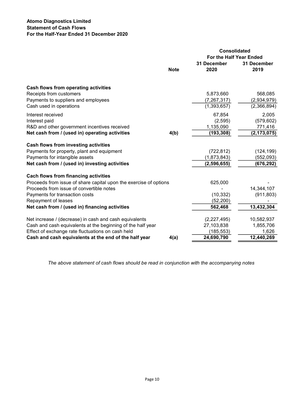## Atomo Diagnostics Limited Statement of Cash Flows For the Half-Year Ended 31 December 2020

|                                                                   |             | <b>Consolidated</b><br>For the Half Year Ended |                     |  |  |
|-------------------------------------------------------------------|-------------|------------------------------------------------|---------------------|--|--|
|                                                                   | <b>Note</b> | 31 December<br>2020                            | 31 December<br>2019 |  |  |
| Cash flows from operating activities                              |             |                                                |                     |  |  |
| Receipts from customers                                           |             | 5,873,660                                      | 568,085             |  |  |
| Payments to suppliers and employees                               |             | (7, 267, 317)                                  | (2,934,979)         |  |  |
| Cash used in operations                                           |             | (1,393,657)                                    | (2,366,894)         |  |  |
| Interest received                                                 |             | 67,854                                         | 2,005               |  |  |
| Interest paid                                                     |             | (2,595)                                        | (579, 602)          |  |  |
| R&D and other government incentives received                      |             | 1,135,090                                      | 771,416             |  |  |
| Net cash from / (used in) operating activities                    | 4(b)        | (193, 308)                                     | (2, 173, 075)       |  |  |
| Cash flows from investing activities                              |             |                                                |                     |  |  |
| Payments for property, plant and equipment                        |             | (722, 812)                                     | (124, 199)          |  |  |
| Payments for intangible assets                                    |             | (1,873,843)                                    | (552,093)           |  |  |
| Net cash from / (used in) investing activities                    |             | (2, 596, 655)                                  | (676, 292)          |  |  |
| <b>Cach flows from financing activities</b>                       |             |                                                |                     |  |  |
| Proceeds from issue of share capital upon the exercise of options |             | 625,000                                        |                     |  |  |
| Proceeds from issue of convertible notes                          |             |                                                | 14,344,107          |  |  |
| Payments for transaction costs                                    |             | (10, 332)                                      | (911, 803)          |  |  |
| Repayment of leases                                               |             | (52, 200)                                      |                     |  |  |
| Net cash from / (used in) financing activities                    |             | 562,468                                        | 13,432,304          |  |  |
| Net increase / (decrease) in cash and cash equivalents            |             | (2,227,495)                                    | 10,582,937          |  |  |
| Cash and cash equivalents at the beginning of the half year       |             | 27,103,838                                     | 1,855,706           |  |  |
| Effect of exchange rate fluctuations on cash held                 |             | (185, 553)                                     | 1,626               |  |  |
| Cash and cash equivalents at the end of the half year             | 4(a)        | 24,690,790                                     | 12,440,269          |  |  |

The above statement of cash flows should be read in conjunction with the accompanying notes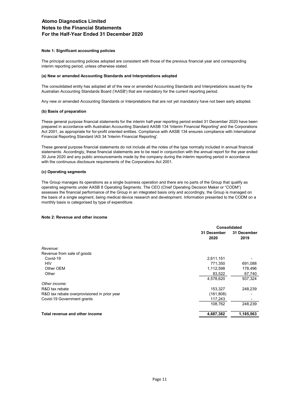#### Note 1: Significant accounting policies

The principal accounting policies adopted are consistent with those of the previous financial year and corresponding interim reporting period, unless otherwise stated.

#### (a) New or amended Accounting Standards and Interpretations adopted

The consolidated entity has adopted all of the new or amended Accounting Standards and Interpretations issued by the Australian Accounting Standards Board ('AASB') that are mandatory for the current reporting period.

Any new or amended Accounting Standards or Interpretations that are not yet mandatory have not been early adopted.

#### (b) Basis of preparation

These general purpose financial statements for the interim half-year reporting period ended 31 December 2020 have been prepared in accordance with Australian Accounting Standard AASB 134 'Interim Financial Reporting' and the Corporations Act 2001, as appropriate for for-profit oriented entities. Compliance with AASB 134 ensures compliance with International Financial Reporting Standard IAS 34 'Interim Financial Reporting'.

These general purpose financial statements do not include all the notes of the type normally included in annual financial statements. Accordingly, these financial statements are to be read in conjunction with the annual report for the year ended 30 June 2020 and any public announcements made by the company during the interim reporting period in accordance with the continuous disclosure requirements of the Corporations Act 2001.

#### (c) Operating segments

The Group manages its operations as a single business operation and there are no parts of the Group that qualify as operating segments under AASB 8 Operating Segments. The CEO (Chief Operating Decision Maker or "CODM") assesses the financial performance of the Group in an integrated basis only and accordingly, the Group is managed on the basis of a single segment, being medical device research and development. Information presented to the CODM on a monthly basis is categorised by type of expenditure.

#### Note 2: Revenue and other income

|                                              | Consolidated |           |
|----------------------------------------------|--------------|-----------|
|                                              | 31 December  |           |
|                                              | 2020         | 2019      |
| Revenue:                                     |              |           |
| Revenue from sale of goods                   |              |           |
| Covid-19                                     | 2,611,151    |           |
| <b>HIV</b>                                   | 771,350      | 691,088   |
| Other OEM                                    | 1,112,598    | 178,496   |
| Other                                        | 83,522       | 67,740    |
|                                              | 4,578,620    | 937,324   |
| Other income:                                |              |           |
| R&D tax rebate                               | 153,327      | 248,239   |
| R&D tax rebate overprovisioned in prior year | (161, 808)   |           |
| Covid-19 Government grants                   | 117,243      |           |
|                                              | 108,762      | 248,239   |
| Total revenue and other income               | 4,687,382    | 1,185,563 |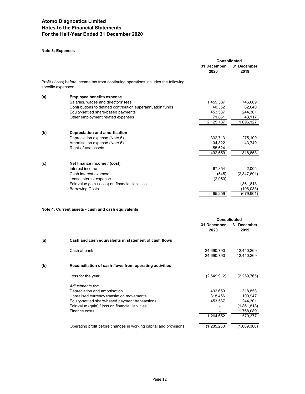## Note 3: Expenses

|                    |                                                                                     | Consolidated        |                     |
|--------------------|-------------------------------------------------------------------------------------|---------------------|---------------------|
|                    |                                                                                     | 31 December<br>2020 | 31 December<br>2019 |
| specific expenses: | Profit / (loss) before income tax from continuing operations includes the following |                     |                     |
| (a)                | <b>Employee benefits expense</b>                                                    |                     |                     |
|                    | Salaries, wages and directors' fees                                                 | 1,459,387           | 746,069             |
|                    | Contributions to defined contribution superannuation funds                          | 140,352             | 62,640              |
|                    | Equity-settled share-based payments                                                 | 453,537             | 244,301             |
|                    | Other employment related expenses                                                   | 71,861              | 43,117              |
|                    |                                                                                     | 2,125,137           | 1,096,127           |
| (b)                | Depreciation and amortisation                                                       |                     |                     |
|                    | Depreciation expense (Note 5)                                                       | 332,713             | 275,109             |
|                    | Amortisation expense (Note 6)                                                       | 104,322             | 43,749              |
|                    | Right-of-use assets                                                                 | 55,624              |                     |
|                    |                                                                                     | 492,659             | 318,858             |
| (c)                | Net finance income / (cost)                                                         |                     |                     |
|                    | Interest income                                                                     | 67,854              | 2,005               |
|                    | Cash interest expense                                                               | (545)               | (2,347,691)         |
|                    | Lease interest expense                                                              | (2,050)             |                     |
|                    | Fair value gain / (loss) on financial liabilities                                   |                     | 1,861,818           |
|                    | <b>Borrowing Costs</b>                                                              |                     | (196,033)           |
|                    |                                                                                     | 65,259              | (679,901)           |
|                    |                                                                                     |                     |                     |

#### Note 4: Current assets - cash and cash equivalents

|                                                                   |                     | Consolidated        |  |
|-------------------------------------------------------------------|---------------------|---------------------|--|
|                                                                   | 31 December<br>2020 | 31 December<br>2019 |  |
| Cash and cash equivalents in statement of cash flows<br>(a)       |                     |                     |  |
| Cash at bank                                                      | 24,690,790          | 12,440,269          |  |
|                                                                   | 24,690,790          | 12,440,269          |  |
| (b)<br>Reconciliation of cash flows from operating activities     |                     |                     |  |
| Loss for the year                                                 | (2,549,912)         | (2, 259, 765)       |  |
| Adjustments for:                                                  |                     |                     |  |
| Depreciation and amortisation                                     | 492,659             | 318,858             |  |
| Unrealised currency translation movements                         | 318.456             | 100.947             |  |
| Equity-settled share-based payment transactions                   | 453,537             | 244,301             |  |
| Fair value (gain) / loss on financial liabilities                 |                     | (1,861,818)         |  |
| Finance costs                                                     |                     | 1,768,089           |  |
|                                                                   | 1,264,652           | 570,377             |  |
| Operating profit before changes in working capital and provisions | (1, 285, 260)       | (1,689,388)         |  |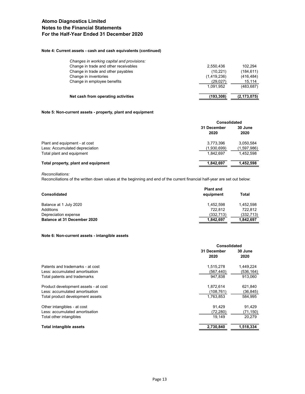## Note 4: Current assets - cash and cash equivalents (continued)

| Net cash from operating activities         | (193,308)   | (2, 173, 075) |
|--------------------------------------------|-------------|---------------|
|                                            | 1.091.952   | (483, 687)    |
| Change in employee benefits                | (29,027)    | 15.114        |
| Change in inventories                      | (1,419,236) | (416, 484)    |
| Change in trade and other payables         | (10, 221)   | (184, 611)    |
| Change in trade and other receivables      | 2.550.436   | 102.294       |
| Changes in working capital and provisions: |             |               |

#### Note 5: Non-current assets - property, plant and equipment

|                                     |                     | <b>Consolidated</b> |  |
|-------------------------------------|---------------------|---------------------|--|
|                                     | 31 December<br>2020 | 30 June<br>2020     |  |
| Plant and equipment - at cost       | 3,773,396           | 3.050.584           |  |
| Less: Accumulated depreciation      | (1,930,699)         | (1,597,986)         |  |
| Total plant and equipment           | 1.842.697           | 1.452.598           |  |
| Total property, plant and equipment | 1.842.697           | 1,452,598           |  |

Reconciliations:

Reconciliations of the written down values at the beginning and end of the current financial half-year are set out below:

| <b>Consolidated</b>                | <b>Plant and</b><br>equipment | Total      |
|------------------------------------|-------------------------------|------------|
| Balance at 1 July 2020             | 1.452.598                     | 1.452.598  |
| Additions                          | 722.812                       | 722.812    |
| Depreciation expense               | (332, 713)                    | (332, 713) |
| <b>Balance at 31 December 2020</b> | 1,842,697                     | 1.842.697  |

#### Note 6: Non-current assets - intangible assets

|                                      |             | Consolidated |  |
|--------------------------------------|-------------|--------------|--|
|                                      | 31 December | 30 June      |  |
|                                      | 2020        | 2020         |  |
| Patents and trademarks - at cost     | 1,515,278   | 1,449,224    |  |
| Less: accumulated amortisation       | (567, 440)  | (536,164)    |  |
| Total patents and trademarks         | 947.838     | 913.060      |  |
| Product development assets - at cost | 1,872,614   | 621,840      |  |
| Less: accumulated amortisation       | (108.761)   | (36,845)     |  |
| Total product development assets     | 1,763,853   | 584.995      |  |
| Other intangibles - at cost          | 91.429      | 91,429       |  |
| Less: accumulated amortisation       | (72,280)    | (71, 150)    |  |
| Total other intangibles              | 19,149      | 20,279       |  |
| <b>Total intangible assets</b>       | 2,730,840   | 1,518,334    |  |
|                                      |             |              |  |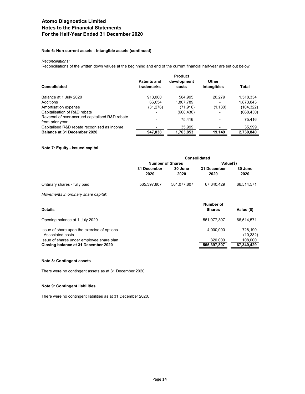#### Note 6: Non-current assets - intangible assets (continued)

#### Reconciliations:

Reconciliations of the written down values at the beginning and end of the current financial half-year are set out below:

|                                                                    | <b>Product</b>            |                      |                      |            |  |
|--------------------------------------------------------------------|---------------------------|----------------------|----------------------|------------|--|
| Consolidated                                                       | Patents and<br>trademarks | development<br>costs | Other<br>intangibles | Total      |  |
| Balance at 1 July 2020                                             | 913.060                   | 584.995              | 20.279               | 1,518,334  |  |
| Additions                                                          | 66.054                    | 1,807,789            |                      | 1,873,843  |  |
| Amortisation expense                                               | (31, 276)                 | (71, 916)            | (1, 130)             | (104, 322) |  |
| Capitalisation of R&D rebate                                       |                           | (668, 430)           |                      | (668, 430) |  |
| Reversal of over-accrued capitalised R&D rebate<br>from prior year |                           | 75.416               |                      | 75.416     |  |
| Capitalised R&D rebate recognised as income                        |                           | 35,999               |                      | 35,999     |  |
| <b>Balance at 31 December 2020</b>                                 | 947,838                   | 1,763,853            | 19,149               | 2,730,840  |  |

#### Note 7: Equity - issued capital

|                              |                         | <b>Consolidated</b> |                     |                 |  |
|------------------------------|-------------------------|---------------------|---------------------|-----------------|--|
|                              | <b>Number of Shares</b> |                     | Value(\$)           |                 |  |
|                              | 31 December<br>2020     | 30 June<br>2020     | 31 December<br>2020 | 30 June<br>2020 |  |
| Ordinary shares - fully paid | 565,397,807             | 561,077,807         | 67,340,429          | 66,514,571      |  |

Movements in ordinary share capital:

| <b>Details</b>                                                  | Number of<br>Value (\$)<br><b>Shares</b> |
|-----------------------------------------------------------------|------------------------------------------|
| Opening balance at 1 July 2020                                  | 561.077.807<br>66.514.571                |
| Issue of share upon the exercise of options<br>Associated costs | 4.000.000<br>728.190<br>(10, 332)        |
| Issue of shares under employee share plan                       | 320.000<br>108.000                       |
| Closing balance at 31 December 2020                             | 67,340,429<br>565,397,807                |

#### Note 8: Contingent assets

There were no contingent assets as at 31 December 2020.

#### Note 9: Contingent liabilities

There were no contingent liabilities as at 31 December 2020.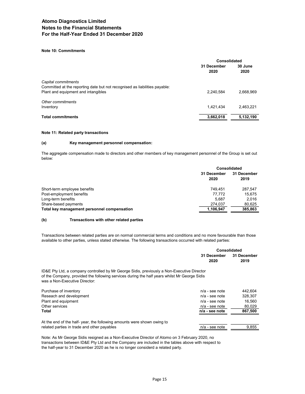#### Note 10: Commitments

|                                                                            | Consolidated        |                 |
|----------------------------------------------------------------------------|---------------------|-----------------|
|                                                                            | 31 December<br>2020 | 30 June<br>2020 |
| Capital commitments                                                        |                     |                 |
| Committed at the reporting date but not recognised as liabilities payable: |                     |                 |
| Plant and equipment and intangibles                                        | 2,240,584           | 2.668.969       |
| Other commitments                                                          |                     |                 |
| Inventory                                                                  | 1,421,434           | 2.463.221       |
| <b>Total commitments</b>                                                   | 3,662,018           | 5,132,190       |

#### Note 11: Related party transactions

#### (a) Key management personnel compensation:

The aggregate compensation made to directors and other members of key management personnel of the Group is set out below:

| <b>Consolidated</b> |                     |
|---------------------|---------------------|
| 31 December<br>2020 | 31 December<br>2019 |
| 749.451             | 287.547             |
| 77.772              | 15.675              |
| 5.687               | 2.016               |
| 274,037             | 80,625              |
| 1,106,947           | 385,863             |
|                     |                     |

#### (b) Transactions with other related parties

Transactions between related parties are on normal commercial terms and conditions and no more favourable than those available to other parties, unless stated otherwise. The following transactions occurred with related parties:

|      | <b>Consolidated</b>     |  |
|------|-------------------------|--|
|      | 31 December 31 December |  |
| 2020 | 2019                    |  |

ID&E Pty Ltd, a company controlled by Mr George Sidis, previously a Non-Executive Director of the Company, provided the following services during the half years whilst Mr George Sidis was a Non-Executive Director:

| Purchase of inventory                                                   | $n/a$ - see note | 442.604 |
|-------------------------------------------------------------------------|------------------|---------|
| Reseach and development                                                 | $n/a$ - see note | 328.307 |
| Plant and equipment                                                     | $n/a$ - see note | 16.560  |
| Other services                                                          | $n/a$ - see note | 80.029  |
| Total                                                                   | n/a - see note   | 867,500 |
| At the end of the half- year, the following amounts were shown owing to |                  |         |
| related parties in trade and other payables                             | $n/a$ - see note | 9.855   |

Note: As Mr George Sidis resigned as a Non-Executive Director of Atomo on 3 February 2020, no transactions between ID&E Pty Ltd and the Company are included in the tables above with respect to the half-year to 31 December 2020 as he is no longer considerd a related party.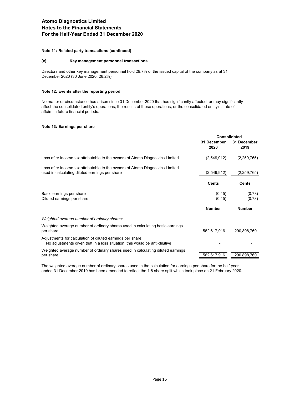#### Note 11: Related party transactions (continued)

#### (c) Key management personnel transactions

Directors and other key management personnel hold 29.7% of the issued capital of the company as at 31 December 2020 (30 June 2020: 28.2%).

#### Note 12: Events after the reporting period

No matter or circumstance has arisen since 31 December 2020 that has significantly affected, or may significantly affect the consolidated entity's operations, the results of those operations, or the consolidated entity's state of affairs in future financial periods.

#### Note 13: Earnings per share

|                                                                                                                                          | Consolidated        |                     |
|------------------------------------------------------------------------------------------------------------------------------------------|---------------------|---------------------|
|                                                                                                                                          | 31 December<br>2020 | 31 December<br>2019 |
| Loss after income tax attributable to the owners of Atomo Diagnostics Limited                                                            | (2,549,912)         | (2, 259, 765)       |
| Loss after income tax attributable to the owners of Atomo Diagnostics Limited<br>used in calculating diluted earnings per share          | (2,549,912)         | (2,259,765)         |
|                                                                                                                                          | <b>Cents</b>        | <b>Cents</b>        |
| Basic earnings per share<br>Diluted earnings per share                                                                                   | (0.45)<br>(0.45)    | (0.78)<br>(0.78)    |
|                                                                                                                                          | <b>Number</b>       | <b>Number</b>       |
| Weighted average number of ordinary shares:                                                                                              |                     |                     |
| Weighted average number of ordinary shares used in calculating basic earnings<br>per share                                               | 562,617,916         | 290,898,760         |
| Adjustments for calculation of diluted earnings per share:<br>No adjustments given that in a loss situation, this would be anti-dilutive |                     |                     |
| Weighted average number of ordinary shares used in calculating diluted earnings<br>per share                                             | 562,617,916         | 290,898,760         |

The weighted average number of ordinary shares used in the calculation for earnings per share for the half-year ended 31 December 2019 has been amended to reflect the 1:8 share split which took place on 21 February 2020.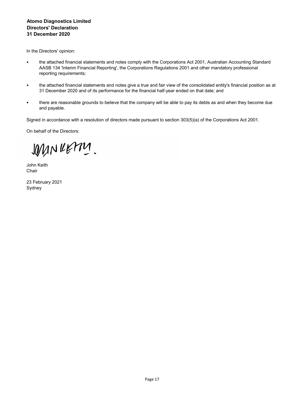## Atomo Diagnostics Limited Directors' Declaration 31 December 2020

In the Directors' opinion:

- the attached financial statements and notes comply with the Corporations Act 2001, Australian Accounting Standard AASB 134 'Interim Financial Reporting', the Corporations Regulations 2001 and other mandatory professional reporting requirements;
- the attached financial statements and notes give a true and fair view of the consolidated entity's financial position as at 31 December 2020 and of its performance for the financial half-year ended on that date; and
- there are reasonable grounds to believe that the company will be able to pay its debts as and when they become due and payable.

Signed in accordance with a resolution of directors made pursuant to section 303(5)(a) of the Corporations Act 2001.

On behalf of the Directors:

WINKETTY.

John Keith **Chair** 

23 February 2021 Sydney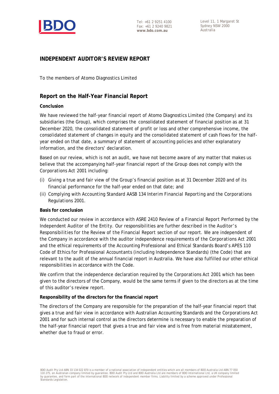

Level 11, 1 Margaret St Sydney NSW 2000 Australia

## **INDEPENDENT AUDITOR'S REVIEW REPORT**

To the members of Atomo Diagnostics Limited

## **Report on the Half-Year Financial Report**

## **Conclusion**

We have reviewed the half-year financial report of Atomo Diagnostics Limited (the Company) and its subsidiaries (the Group), which comprises the consolidated statement of financial position as at 31 December 2020, the consolidated statement of profit or loss and other comprehensive income, the consolidated statement of changes in equity and the consolidated statement of cash flows for the halfyear ended on that date, a summary of statement of accounting policies and other explanatory information, and the directors' declaration.

Based on our review, which is not an audit, we have not become aware of any matter that makes us believe that the accompanying half-year financial report of the Group does not comply with the *Corporations Act 2001* including:

- (i) Giving a true and fair view of the Group's financial position as at 31 December 2020 and of its financial performance for the half-year ended on that date; and
- (ii) Complying with Accounting Standard AASB 134 *Interim Financial Reporting* and the *Corporations Regulations 2001.*

## **Basis for conclusion**

We conducted our review in accordance with ASRE 2410 *Review of a Financial Report Performed by the Independent Auditor of the Entity*. Our responsibilities are further described in the *Auditor's Responsibilities for the Review of the Financial Report* section of our report. We are independent of the Company in accordance with the auditor independence requirements of the *Corporations Act 2001* and the ethical requirements of the Accounting Professional and Ethical Standards Board's APES 110 *Code of Ethics for Professional Accountants (including Independence Standards)* (the Code) that are relevant to the audit of the annual financial report in Australia. We have also fulfilled our other ethical responsibilities in accordance with the Code.

We confirm that the independence declaration required by the *Corporations Act 2001* which has been given to the directors of the Company, would be the same terms if given to the directors as at the time of this auditor's review report.

## **Responsibility of the directors for the financial report**

The directors of the Company are responsible for the preparation of the half-year financial report that gives a true and fair view in accordance with Australian Accounting Standards and the *Corporations Act 2001* and for such internal control as the directors determine is necessary to enable the preparation of the half-year financial report that gives a true and fair view and is free from material misstatement, whether due to fraud or error.